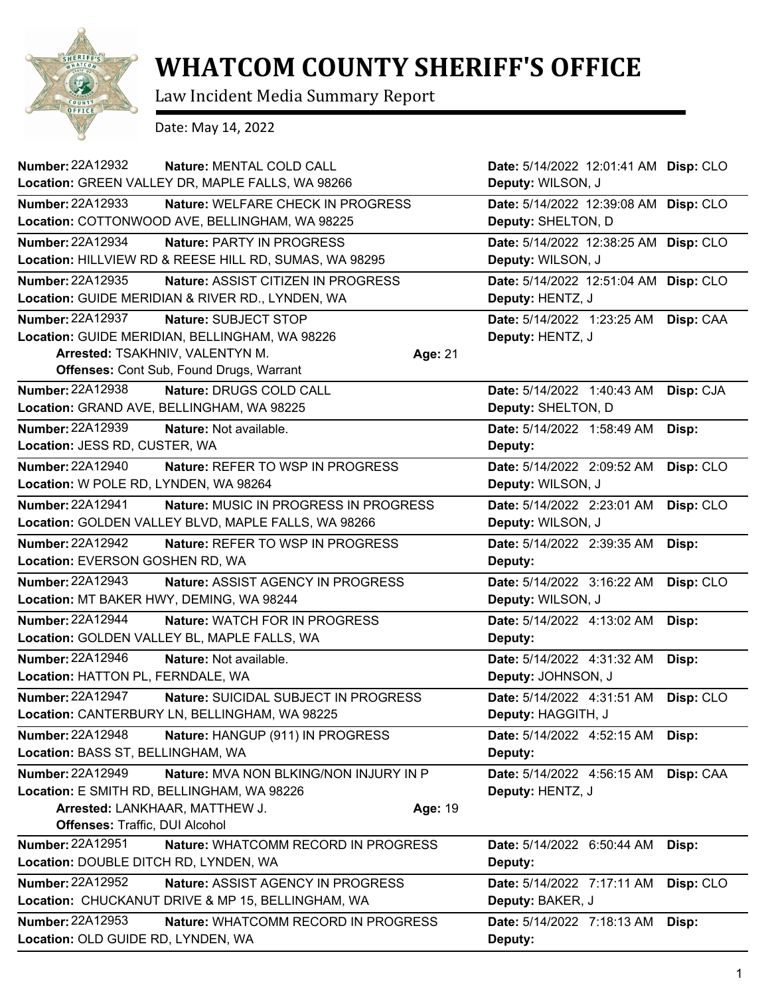

## **WHATCOM COUNTY SHERIFF'S OFFICE**

Law Incident Media Summary Report

Date: May 14, 2022

| <b>Number: 22A12932</b><br>Nature: MENTAL COLD CALL<br>Location: GREEN VALLEY DR, MAPLE FALLS, WA 98266                                                                                               | Date: 5/14/2022 12:01:41 AM Disp: CLO                       |           |
|-------------------------------------------------------------------------------------------------------------------------------------------------------------------------------------------------------|-------------------------------------------------------------|-----------|
|                                                                                                                                                                                                       | Deputy: WILSON, J                                           |           |
| <b>Number: 22A12933</b><br>Nature: WELFARE CHECK IN PROGRESS<br>Location: COTTONWOOD AVE, BELLINGHAM, WA 98225                                                                                        | Date: 5/14/2022 12:39:08 AM Disp: CLO<br>Deputy: SHELTON, D |           |
| Number: 22A12934<br><b>Nature: PARTY IN PROGRESS</b><br>Location: HILLVIEW RD & REESE HILL RD, SUMAS, WA 98295                                                                                        | Date: 5/14/2022 12:38:25 AM Disp: CLO<br>Deputy: WILSON, J  |           |
| Number: 22A12935<br>Nature: ASSIST CITIZEN IN PROGRESS                                                                                                                                                | Date: 5/14/2022 12:51:04 AM Disp: CLO                       |           |
| Location: GUIDE MERIDIAN & RIVER RD., LYNDEN, WA                                                                                                                                                      | Deputy: HENTZ, J                                            |           |
| <b>Number: 22A12937</b><br>Nature: SUBJECT STOP<br>Location: GUIDE MERIDIAN, BELLINGHAM, WA 98226<br>Arrested: TSAKHNIV, VALENTYN M.<br>Age: 21<br><b>Offenses: Cont Sub, Found Drugs, Warrant</b>    | Date: 5/14/2022 1:23:25 AM<br>Deputy: HENTZ, J              | Disp: CAA |
| Number: 22A12938<br>Nature: DRUGS COLD CALL                                                                                                                                                           | Date: 5/14/2022 1:40:43 AM                                  | Disp: CJA |
| Location: GRAND AVE, BELLINGHAM, WA 98225                                                                                                                                                             | Deputy: SHELTON, D                                          |           |
| <b>Number: 22A12939</b><br><b>Nature: Not available.</b><br>Location: JESS RD, CUSTER, WA                                                                                                             | Date: 5/14/2022 1:58:49 AM<br>Deputy:                       | Disp:     |
| <b>Number: 22A12940</b><br>Nature: REFER TO WSP IN PROGRESS                                                                                                                                           | Date: 5/14/2022 2:09:52 AM                                  | Disp: CLO |
| Location: W POLE RD, LYNDEN, WA 98264                                                                                                                                                                 | Deputy: WILSON, J                                           |           |
| Number: 22A12941<br>Nature: MUSIC IN PROGRESS IN PROGRESS<br>Location: GOLDEN VALLEY BLVD, MAPLE FALLS, WA 98266                                                                                      | Date: 5/14/2022 2:23:01 AM<br>Deputy: WILSON, J             | Disp: CLO |
| <b>Number: 22A12942</b><br>Nature: REFER TO WSP IN PROGRESS<br>Location: EVERSON GOSHEN RD, WA                                                                                                        | Date: 5/14/2022 2:39:35 AM<br>Deputy:                       | Disp:     |
| Number: 22A12943<br>Nature: ASSIST AGENCY IN PROGRESS<br>Location: MT BAKER HWY, DEMING, WA 98244                                                                                                     | Date: 5/14/2022 3:16:22 AM<br>Deputy: WILSON, J             | Disp: CLO |
| Number: 22A12944<br><b>Nature: WATCH FOR IN PROGRESS</b><br>Location: GOLDEN VALLEY BL, MAPLE FALLS, WA                                                                                               | Date: 5/14/2022 4:13:02 AM<br>Deputy:                       | Disp:     |
| Number: 22A12946<br>Nature: Not available.<br>Location: HATTON PL, FERNDALE, WA                                                                                                                       | Date: 5/14/2022 4:31:32 AM<br>Deputy: JOHNSON, J            | Disp:     |
| Number: 22A12947<br>Nature: SUICIDAL SUBJECT IN PROGRESS<br>Location: CANTERBURY LN, BELLINGHAM, WA 98225                                                                                             | Date: 5/14/2022 4:31:51 AM<br>Deputy: HAGGITH, J            | Disp: CLO |
| <b>Number: 22A12948</b><br>Nature: HANGUP (911) IN PROGRESS<br>Location: BASS ST, BELLINGHAM, WA                                                                                                      | Date: 5/14/2022 4:52:15 AM<br>Deputy:                       | Disp:     |
| <b>Number: 22A12949</b><br>Nature: MVA NON BLKING/NON INJURY IN P<br>Location: E SMITH RD, BELLINGHAM, WA 98226<br>Arrested: LANKHAAR, MATTHEW J.<br>Age: 19<br><b>Offenses: Traffic, DUI Alcohol</b> | Date: 5/14/2022 4:56:15 AM<br>Deputy: HENTZ, J              | Disp: CAA |
| <b>Number: 22A12951</b><br>Nature: WHATCOMM RECORD IN PROGRESS                                                                                                                                        | Date: 5/14/2022 6:50:44 AM                                  | Disp:     |
| Location: DOUBLE DITCH RD, LYNDEN, WA                                                                                                                                                                 | Deputy:                                                     |           |
| Number: 22A12952<br>Nature: ASSIST AGENCY IN PROGRESS<br>Location: CHUCKANUT DRIVE & MP 15, BELLINGHAM, WA                                                                                            | Date: 5/14/2022 7:17:11 AM<br>Deputy: BAKER, J              | Disp: CLO |
| Number: 22A12953<br>Nature: WHATCOMM RECORD IN PROGRESS<br>Location: OLD GUIDE RD, LYNDEN, WA                                                                                                         | Date: 5/14/2022 7:18:13 AM<br>Deputy:                       | Disp:     |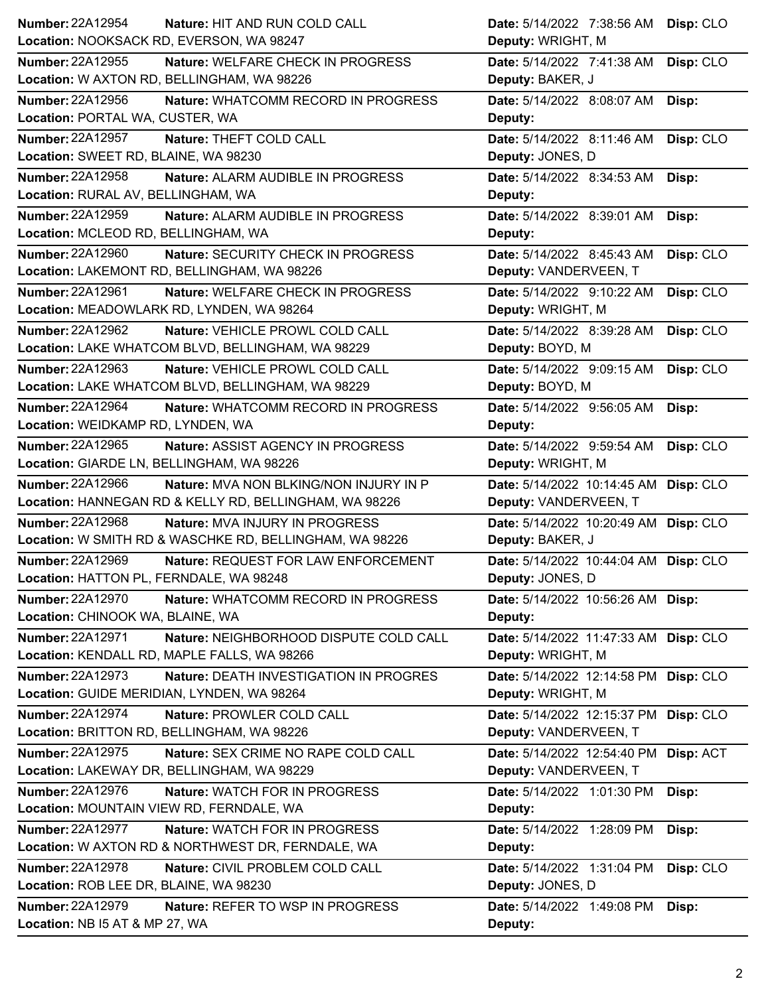| Number: 22A12954<br>Nature: HIT AND RUN COLD CALL                        | Date: 5/14/2022 7:38:56 AM Disp: CLO    |
|--------------------------------------------------------------------------|-----------------------------------------|
| Location: NOOKSACK RD, EVERSON, WA 98247                                 | Deputy: WRIGHT, M                       |
| <b>Number: 22A12955</b><br>Nature: WELFARE CHECK IN PROGRESS             | Date: 5/14/2022 7:41:38 AM<br>Disp: CLO |
| Location: W AXTON RD, BELLINGHAM, WA 98226                               | Deputy: BAKER, J                        |
| Number: 22A12956<br>Nature: WHATCOMM RECORD IN PROGRESS                  | Date: 5/14/2022 8:08:07 AM Disp:        |
| Location: PORTAL WA, CUSTER, WA                                          | Deputy:                                 |
| <b>Number: 22A12957</b><br>Nature: THEFT COLD CALL                       | Date: 5/14/2022 8:11:46 AM<br>Disp: CLO |
| Location: SWEET RD, BLAINE, WA 98230                                     | Deputy: JONES, D                        |
| Number: 22A12958<br>Nature: ALARM AUDIBLE IN PROGRESS                    | Date: 5/14/2022 8:34:53 AM<br>Disp:     |
| Location: RURAL AV, BELLINGHAM, WA                                       | Deputy:                                 |
| Number: 22A12959<br>Nature: ALARM AUDIBLE IN PROGRESS                    | Date: 5/14/2022 8:39:01 AM<br>Disp:     |
| Location: MCLEOD RD, BELLINGHAM, WA                                      | Deputy:                                 |
| Number: 22A12960<br>Nature: SECURITY CHECK IN PROGRESS                   | Date: 5/14/2022 8:45:43 AM<br>Disp: CLO |
| Location: LAKEMONT RD, BELLINGHAM, WA 98226                              | Deputy: VANDERVEEN, T                   |
| Number: 22A12961<br>Nature: WELFARE CHECK IN PROGRESS                    | Date: 5/14/2022 9:10:22 AM<br>Disp: CLO |
| Location: MEADOWLARK RD, LYNDEN, WA 98264                                | Deputy: WRIGHT, M                       |
| Number: 22A12962<br>Nature: VEHICLE PROWL COLD CALL                      | Date: 5/14/2022 8:39:28 AM<br>Disp: CLO |
| Location: LAKE WHATCOM BLVD, BELLINGHAM, WA 98229                        | Deputy: BOYD, M                         |
| Number: 22A12963<br>Nature: VEHICLE PROWL COLD CALL                      | Date: 5/14/2022 9:09:15 AM<br>Disp: CLO |
| Location: LAKE WHATCOM BLVD, BELLINGHAM, WA 98229                        | Deputy: BOYD, M                         |
| <b>Number: 22A12964</b><br>Nature: WHATCOMM RECORD IN PROGRESS           | Date: 5/14/2022 9:56:05 AM<br>Disp:     |
| Location: WEIDKAMP RD, LYNDEN, WA                                        | Deputy:                                 |
| Number: 22A12965<br>Nature: ASSIST AGENCY IN PROGRESS                    | Disp: CLO<br>Date: 5/14/2022 9:59:54 AM |
| Location: GIARDE LN, BELLINGHAM, WA 98226                                | Deputy: WRIGHT, M                       |
| <b>Number: 22A12966</b><br><b>Nature: MVA NON BLKING/NON INJURY IN P</b> | Date: 5/14/2022 10:14:45 AM Disp: CLO   |
| Location: HANNEGAN RD & KELLY RD, BELLINGHAM, WA 98226                   | Deputy: VANDERVEEN, T                   |
| <b>Number: 22A12968</b><br>Nature: MVA INJURY IN PROGRESS                | Date: 5/14/2022 10:20:49 AM Disp: CLO   |
| Location: W SMITH RD & WASCHKE RD, BELLINGHAM, WA 98226                  | Deputy: BAKER, J                        |
| Number: 22A12969<br>Nature: REQUEST FOR LAW ENFORCEMENT                  | Date: 5/14/2022 10:44:04 AM Disp: CLO   |
| Location: HATTON PL, FERNDALE, WA 98248                                  | Deputy: JONES, D                        |
| <b>Number: 22A12970</b><br>Nature: WHATCOMM RECORD IN PROGRESS           | Date: 5/14/2022 10:56:26 AM Disp:       |
| Location: CHINOOK WA, BLAINE, WA                                         | Deputy:                                 |
| <b>Number: 22A12971</b><br>Nature: NEIGHBORHOOD DISPUTE COLD CALL        | Date: 5/14/2022 11:47:33 AM Disp: CLO   |
| Location: KENDALL RD, MAPLE FALLS, WA 98266                              | Deputy: WRIGHT, M                       |
| Number: 22A12973<br><b>Nature: DEATH INVESTIGATION IN PROGRES</b>        | Date: 5/14/2022 12:14:58 PM Disp: CLO   |
| Location: GUIDE MERIDIAN, LYNDEN, WA 98264                               | Deputy: WRIGHT, M                       |
| <b>Number: 22A12974</b><br>Nature: PROWLER COLD CALL                     | Date: 5/14/2022 12:15:37 PM Disp: CLO   |
| Location: BRITTON RD, BELLINGHAM, WA 98226                               | Deputy: VANDERVEEN, T                   |
| Number: 22A12975<br>Nature: SEX CRIME NO RAPE COLD CALL                  | Date: 5/14/2022 12:54:40 PM Disp: ACT   |
| Location: LAKEWAY DR, BELLINGHAM, WA 98229                               | Deputy: VANDERVEEN, T                   |
| <b>Number: 22A12976</b><br>Nature: WATCH FOR IN PROGRESS                 | Date: 5/14/2022 1:01:30 PM<br>Disp:     |
| Location: MOUNTAIN VIEW RD, FERNDALE, WA                                 | Deputy:                                 |
| <b>Number: 22A12977</b><br>Nature: WATCH FOR IN PROGRESS                 | Date: 5/14/2022 1:28:09 PM<br>Disp:     |
| Location: W AXTON RD & NORTHWEST DR, FERNDALE, WA                        | Deputy:                                 |
| <b>Number: 22A12978</b><br><b>Nature: CIVIL PROBLEM COLD CALL</b>        | Disp: CLO<br>Date: 5/14/2022 1:31:04 PM |
| Location: ROB LEE DR, BLAINE, WA 98230                                   | Deputy: JONES, D                        |
| Number: 22A12979<br>Nature: REFER TO WSP IN PROGRESS                     | Date: 5/14/2022 1:49:08 PM<br>Disp:     |
| Location: NB I5 AT & MP 27, WA                                           | Deputy:                                 |
|                                                                          |                                         |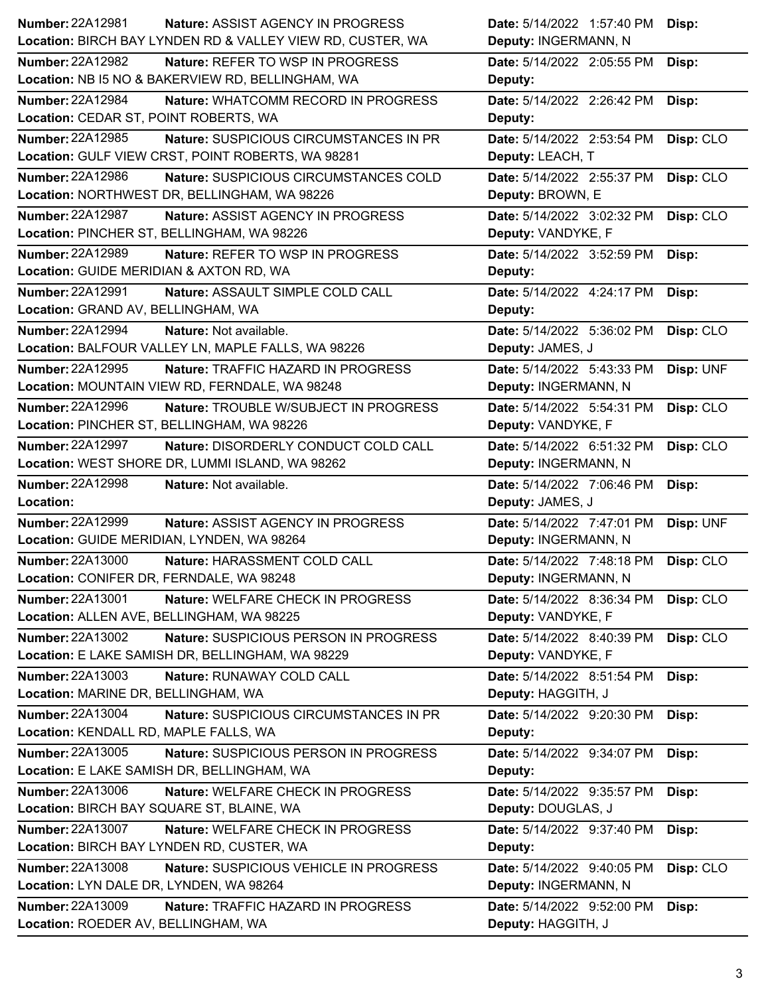| Number: 22A12981<br>Nature: ASSIST AGENCY IN PROGRESS                                                | Date: 5/14/2022 1:57:40 PM<br>Disp:                           |
|------------------------------------------------------------------------------------------------------|---------------------------------------------------------------|
| Location: BIRCH BAY LYNDEN RD & VALLEY VIEW RD, CUSTER, WA                                           | Deputy: INGERMANN, N                                          |
| <b>Number: 22A12982</b><br>Nature: REFER TO WSP IN PROGRESS                                          | Date: 5/14/2022 2:05:55 PM<br>Disp:                           |
| Location: NB I5 NO & BAKERVIEW RD, BELLINGHAM, WA                                                    | Deputy:                                                       |
| <b>Number: 22A12984</b><br>Nature: WHATCOMM RECORD IN PROGRESS                                       | Date: 5/14/2022 2:26:42 PM<br>Disp:                           |
| Location: CEDAR ST, POINT ROBERTS, WA                                                                | Deputy:                                                       |
| <b>Number: 22A12985</b><br>Nature: SUSPICIOUS CIRCUMSTANCES IN PR                                    | Date: 5/14/2022 2:53:54 PM<br>Disp: CLO                       |
| Location: GULF VIEW CRST, POINT ROBERTS, WA 98281                                                    | Deputy: LEACH, T                                              |
| Number: 22A12986<br>Nature: SUSPICIOUS CIRCUMSTANCES COLD                                            | Date: 5/14/2022 2:55:37 PM<br>Disp: CLO                       |
| Location: NORTHWEST DR, BELLINGHAM, WA 98226                                                         | Deputy: BROWN, E                                              |
| Number: 22A12987<br>Nature: ASSIST AGENCY IN PROGRESS                                                | Date: 5/14/2022 3:02:32 PM<br>Disp: CLO                       |
| Location: PINCHER ST, BELLINGHAM, WA 98226                                                           | Deputy: VANDYKE, F                                            |
| Number: 22A12989<br>Nature: REFER TO WSP IN PROGRESS                                                 | Date: 5/14/2022 3:52:59 PM<br>Disp:                           |
| Location: GUIDE MERIDIAN & AXTON RD, WA                                                              | Deputy:                                                       |
| Number: 22A12991<br>Nature: ASSAULT SIMPLE COLD CALL                                                 | Date: 5/14/2022 4:24:17 PM<br>Disp:                           |
| Location: GRAND AV, BELLINGHAM, WA                                                                   | Deputy:                                                       |
| <b>Number: 22A12994</b><br>Nature: Not available.                                                    | Disp: CLO<br>Date: 5/14/2022 5:36:02 PM                       |
| Location: BALFOUR VALLEY LN, MAPLE FALLS, WA 98226                                                   | Deputy: JAMES, J                                              |
| Number: 22A12995<br>Nature: TRAFFIC HAZARD IN PROGRESS                                               | Date: 5/14/2022 5:43:33 PM<br>Disp: UNF                       |
| Location: MOUNTAIN VIEW RD, FERNDALE, WA 98248                                                       | Deputy: INGERMANN, N                                          |
| <b>Number: 22A12996</b><br>Nature: TROUBLE W/SUBJECT IN PROGRESS                                     | Date: 5/14/2022 5:54:31 PM<br>Disp: CLO                       |
| Location: PINCHER ST, BELLINGHAM, WA 98226                                                           | Deputy: VANDYKE, F                                            |
| <b>Number: 22A12997</b><br>Nature: DISORDERLY CONDUCT COLD CALL                                      | Disp: CLO<br>Date: 5/14/2022 6:51:32 PM                       |
| Location: WEST SHORE DR, LUMMI ISLAND, WA 98262                                                      | Deputy: INGERMANN, N                                          |
| Number: 22A12998<br>Nature: Not available.                                                           | Date: 5/14/2022 7:06:46 PM<br>Disp:                           |
|                                                                                                      |                                                               |
| Location:                                                                                            | Deputy: JAMES, J                                              |
| <b>Number: 22A12999</b><br>Nature: ASSIST AGENCY IN PROGRESS                                         | Date: 5/14/2022 7:47:01 PM                                    |
| Location: GUIDE MERIDIAN, LYNDEN, WA 98264                                                           | Disp: UNF<br>Deputy: INGERMANN, N                             |
| <b>Number: 22A13000</b>                                                                              | Date: 5/14/2022 7:48:18 PM                                    |
| Nature: HARASSMENT COLD CALL<br>Location: CONIFER DR, FERNDALE, WA 98248                             | Disp: CLO<br>Deputy: INGERMANN, N                             |
| <b>Number: 22A13001</b><br>Nature: WELFARE CHECK IN PROGRESS                                         | Date: 5/14/2022 8:36:34 PM                                    |
| Location: ALLEN AVE, BELLINGHAM, WA 98225                                                            | Disp: CLO<br>Deputy: VANDYKE, F                               |
| Number: 22A13002<br>Nature: SUSPICIOUS PERSON IN PROGRESS                                            |                                                               |
| Location: E LAKE SAMISH DR, BELLINGHAM, WA 98229                                                     | Date: 5/14/2022 8:40:39 PM<br>Disp: CLO<br>Deputy: VANDYKE, F |
| Number: 22A13003<br>Nature: RUNAWAY COLD CALL                                                        | Date: 5/14/2022 8:51:54 PM<br>Disp:                           |
| Location: MARINE DR, BELLINGHAM, WA                                                                  | Deputy: HAGGITH, J                                            |
| <b>Number: 22A13004</b>                                                                              |                                                               |
| Nature: SUSPICIOUS CIRCUMSTANCES IN PR<br>Location: KENDALL RD, MAPLE FALLS, WA                      | Date: 5/14/2022 9:20:30 PM<br>Disp:<br>Deputy:                |
| Number: 22A13005                                                                                     |                                                               |
| Nature: SUSPICIOUS PERSON IN PROGRESS<br>Location: E LAKE SAMISH DR, BELLINGHAM, WA                  | Date: 5/14/2022 9:34:07 PM<br>Disp:                           |
| <b>Number: 22A13006</b><br>Nature: WELFARE CHECK IN PROGRESS                                         | Deputy:                                                       |
| Location: BIRCH BAY SQUARE ST, BLAINE, WA                                                            | Date: 5/14/2022 9:35:57 PM<br>Disp:<br>Deputy: DOUGLAS, J     |
| <b>Number: 22A13007</b>                                                                              |                                                               |
| Nature: WELFARE CHECK IN PROGRESS<br>Location: BIRCH BAY LYNDEN RD, CUSTER, WA                       | Date: 5/14/2022 9:37:40 PM<br>Disp:                           |
|                                                                                                      | Deputy:                                                       |
| <b>Number: 22A13008</b><br>Nature: SUSPICIOUS VEHICLE IN PROGRESS                                    | Disp: CLO<br>Date: 5/14/2022 9:40:05 PM                       |
| Location: LYN DALE DR, LYNDEN, WA 98264                                                              | Deputy: INGERMANN, N                                          |
| <b>Number: 22A13009</b><br>Nature: TRAFFIC HAZARD IN PROGRESS<br>Location: ROEDER AV, BELLINGHAM, WA | Date: 5/14/2022 9:52:00 PM<br>Disp:<br>Deputy: HAGGITH, J     |